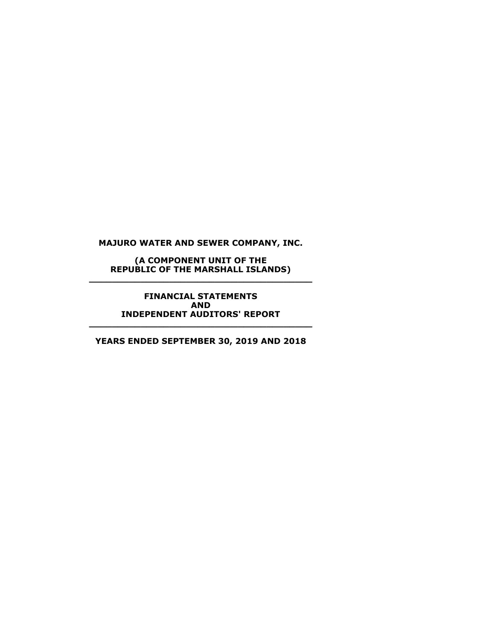**MAJURO WATER AND SEWER COMPANY, INC.**

**(A COMPONENT UNIT OF THE REPUBLIC OF THE MARSHALL ISLANDS) \_\_\_\_\_\_\_\_\_\_\_\_\_\_\_\_\_\_\_\_\_\_\_\_\_\_\_\_\_\_\_\_\_\_\_\_\_\_\_**

> **FINANCIAL STATEMENTS AND INDEPENDENT AUDITORS' REPORT**

**YEARS ENDED SEPTEMBER 30, 2019 AND 2018**

**\_\_\_\_\_\_\_\_\_\_\_\_\_\_\_\_\_\_\_\_\_\_\_\_\_\_\_\_\_\_\_\_\_\_\_\_\_\_\_**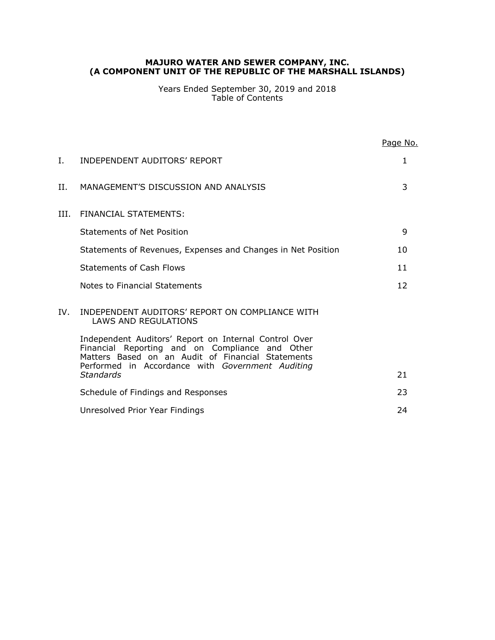Years Ended September 30, 2019 and 2018 Table of Contents

|     |                                                                                                                                                                                                                   | <u>Page No.</u> |
|-----|-------------------------------------------------------------------------------------------------------------------------------------------------------------------------------------------------------------------|-----------------|
| I.  | INDEPENDENT AUDITORS' REPORT                                                                                                                                                                                      | 1               |
| H.  | MANAGEMENT'S DISCUSSION AND ANALYSIS                                                                                                                                                                              | 3               |
| HT. | FINANCIAL STATEMENTS:                                                                                                                                                                                             |                 |
|     | Statements of Net Position                                                                                                                                                                                        | 9               |
|     | Statements of Revenues, Expenses and Changes in Net Position                                                                                                                                                      | 10              |
|     | Statements of Cash Flows                                                                                                                                                                                          | 11              |
|     | Notes to Financial Statements                                                                                                                                                                                     | 12              |
| IV. | INDEPENDENT AUDITORS' REPORT ON COMPLIANCE WITH<br>LAWS AND REGULATIONS                                                                                                                                           |                 |
|     | Independent Auditors' Report on Internal Control Over<br>Financial Reporting and on Compliance and Other<br>Matters Based on an Audit of Financial Statements<br>Performed in Accordance with Government Auditing |                 |
|     | Standards                                                                                                                                                                                                         | 21              |
|     | Schedule of Findings and Responses                                                                                                                                                                                | 23              |
|     | Unresolved Prior Year Findings                                                                                                                                                                                    | 24              |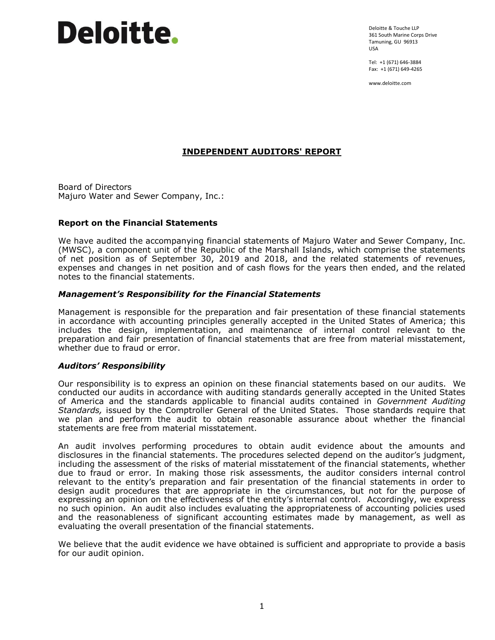# **Deloitte.**

Deloitte & Touche LLP 361 South Marine Corps Drive Tamuning, GU 96913 USA

Tel: +1 (671) 646-3884 Fax: +1 (671) 649-4265

www.deloitte.com

# **INDEPENDENT AUDITORS' REPORT**

Board of Directors Majuro Water and Sewer Company, Inc.:

# **Report on the Financial Statements**

We have audited the accompanying financial statements of Majuro Water and Sewer Company, Inc. (MWSC), a component unit of the Republic of the Marshall Islands, which comprise the statements of net position as of September 30, 2019 and 2018, and the related statements of revenues, expenses and changes in net position and of cash flows for the years then ended, and the related notes to the financial statements.

# *Management's Responsibility for the Financial Statements*

Management is responsible for the preparation and fair presentation of these financial statements in accordance with accounting principles generally accepted in the United States of America; this includes the design, implementation, and maintenance of internal control relevant to the preparation and fair presentation of financial statements that are free from material misstatement, whether due to fraud or error.

# *Auditors' Responsibility*

Our responsibility is to express an opinion on these financial statements based on our audits. We conducted our audits in accordance with auditing standards generally accepted in the United States of America and the standards applicable to financial audits contained in *Government Auditing Standards,* issued by the Comptroller General of the United States. Those standards require that we plan and perform the audit to obtain reasonable assurance about whether the financial statements are free from material misstatement.

An audit involves performing procedures to obtain audit evidence about the amounts and disclosures in the financial statements. The procedures selected depend on the auditor's judgment, including the assessment of the risks of material misstatement of the financial statements, whether due to fraud or error. In making those risk assessments, the auditor considers internal control relevant to the entity's preparation and fair presentation of the financial statements in order to design audit procedures that are appropriate in the circumstances, but not for the purpose of expressing an opinion on the effectiveness of the entity's internal control. Accordingly, we express no such opinion. An audit also includes evaluating the appropriateness of accounting policies used and the reasonableness of significant accounting estimates made by management, as well as evaluating the overall presentation of the financial statements.

We believe that the audit evidence we have obtained is sufficient and appropriate to provide a basis for our audit opinion.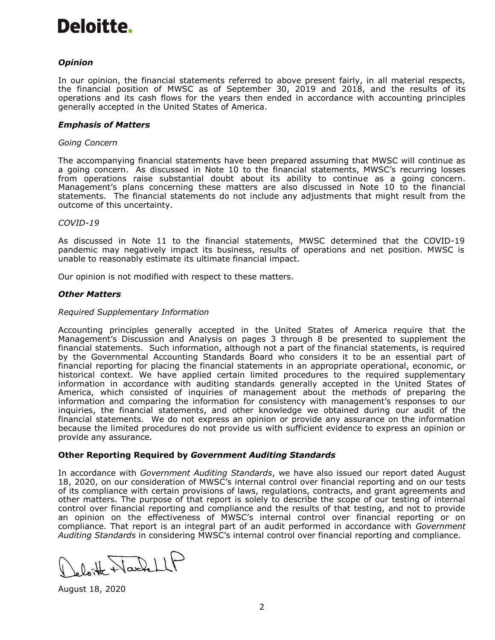# **Deloitte.**

# *Opinion*

In our opinion, the financial statements referred to above present fairly, in all material respects, the financial position of MWSC as of September 30, 2019 and 2018, and the results of its operations and its cash flows for the years then ended in accordance with accounting principles generally accepted in the United States of America.

## *Emphasis of Matters*

#### *Going Concern*

The accompanying financial statements have been prepared assuming that MWSC will continue as a going concern. As discussed in Note 10 to the financial statements, MWSC's recurring losses from operations raise substantial doubt about its ability to continue as a going concern. Management's plans concerning these matters are also discussed in Note 10 to the financial statements. The financial statements do not include any adjustments that might result from the outcome of this uncertainty.

#### *COVID-19*

As discussed in Note 11 to the financial statements, MWSC determined that the COVID-19 pandemic may negatively impact its business, results of operations and net position. MWSC is unable to reasonably estimate its ultimate financial impact.

Our opinion is not modified with respect to these matters.

#### *Other Matters*

#### *Required Supplementary Information*

Accounting principles generally accepted in the United States of America require that the Management's Discussion and Analysis on pages 3 through 8 be presented to supplement the financial statements. Such information, although not a part of the financial statements, is required by the Governmental Accounting Standards Board who considers it to be an essential part of financial reporting for placing the financial statements in an appropriate operational, economic, or historical context. We have applied certain limited procedures to the required supplementary information in accordance with auditing standards generally accepted in the United States of America, which consisted of inquiries of management about the methods of preparing the information and comparing the information for consistency with management's responses to our inquiries, the financial statements, and other knowledge we obtained during our audit of the financial statements. We do not express an opinion or provide any assurance on the information because the limited procedures do not provide us with sufficient evidence to express an opinion or provide any assurance.

#### **Other Reporting Required by** *Government Auditing Standards*

In accordance with *Government Auditing Standards*, we have also issued our report dated August 18, 2020, on our consideration of MWSC's internal control over financial reporting and on our tests of its compliance with certain provisions of laws, regulations, contracts, and grant agreements and other matters. The purpose of that report is solely to describe the scope of our testing of internal control over financial reporting and compliance and the results of that testing, and not to provide an opinion on the effectiveness of MWSC's internal control over financial reporting or on compliance. That report is an integral part of an audit performed in accordance with *Government Auditing Standards* in considering MWSC's internal control over financial reporting and compliance.

bitte Harlett

August 18, 2020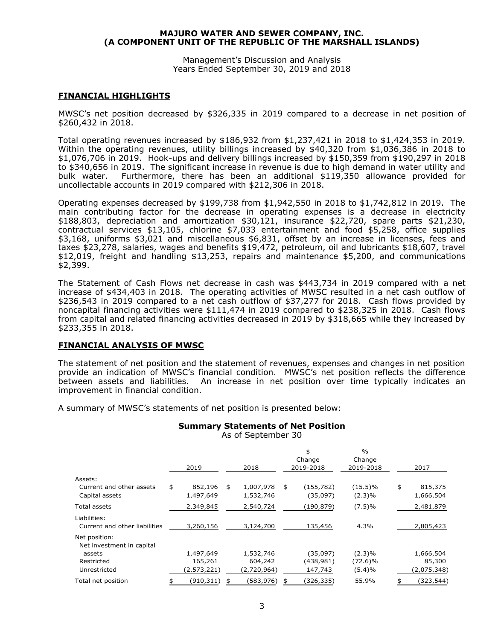Management's Discussion and Analysis Years Ended September 30, 2019 and 2018

## **FINANCIAL HIGHLIGHTS**

MWSC's net position decreased by \$326,335 in 2019 compared to a decrease in net position of \$260,432 in 2018.

Total operating revenues increased by \$186,932 from \$1,237,421 in 2018 to \$1,424,353 in 2019. Within the operating revenues, utility billings increased by \$40,320 from \$1,036,386 in 2018 to \$1,076,706 in 2019. Hook-ups and delivery billings increased by \$150,359 from \$190,297 in 2018 to \$340,656 in 2019. The significant increase in revenue is due to high demand in water utility and bulk water. Furthermore, there has been an additional \$119,350 allowance provided for uncollectable accounts in 2019 compared with \$212,306 in 2018.

Operating expenses decreased by \$199,738 from \$1,942,550 in 2018 to \$1,742,812 in 2019. The main contributing factor for the decrease in operating expenses is a decrease in electricity \$188,803, depreciation and amortization \$30,121, insurance \$22,720, spare parts \$21,230, contractual services \$13,105, chlorine \$7,033 entertainment and food \$5,258, office supplies \$3,168, uniforms \$3,021 and miscellaneous \$6,831, offset by an increase in licenses, fees and taxes \$23,278, salaries, wages and benefits \$19,472, petroleum, oil and lubricants \$18,607, travel \$12,019, freight and handling \$13,253, repairs and maintenance \$5,200, and communications \$2,399.

The Statement of Cash Flows net decrease in cash was \$443,734 in 2019 compared with a net increase of \$434,403 in 2018. The operating activities of MWSC resulted in a net cash outflow of \$236,543 in 2019 compared to a net cash outflow of \$37,277 for 2018. Cash flows provided by noncapital financing activities were \$111,474 in 2019 compared to \$238,325 in 2018. Cash flows from capital and related financing activities decreased in 2019 by \$318,665 while they increased by \$233,355 in 2018.

#### **FINANCIAL ANALYSIS OF MWSC**

The statement of net position and the statement of revenues, expenses and changes in net position provide an indication of MWSC's financial condition. MWSC's net position reflects the difference between assets and liabilities. An increase in net position over time typically indicates an improvement in financial condition.

**Summary Statements of Net Position**

A summary of MWSC's statements of net position is presented below:

| As of September 30                                                                 |                                     |                                     |                                   |                                      |                                    |  |  |  |
|------------------------------------------------------------------------------------|-------------------------------------|-------------------------------------|-----------------------------------|--------------------------------------|------------------------------------|--|--|--|
|                                                                                    | 2019                                | 2018                                | \$<br>Change<br>2019-2018         | $\frac{0}{0}$<br>Change<br>2019-2018 | 2017                               |  |  |  |
| Assets:<br>Current and other assets<br>Capital assets                              | \$<br>852,196<br>1,497,649          | 1,007,978<br>\$<br>1,532,746        | (155, 782)<br>\$<br>(35,097)      | $(15.5)\%$<br>$(2.3)\%$              | \$<br>815,375<br>1,666,504         |  |  |  |
| <b>Total assets</b>                                                                | 2,349,845                           | 2,540,724                           | (190, 879)                        | (7.5)%                               | 2,481,879                          |  |  |  |
| Liabilities:<br>Current and other liabilities                                      | 3,260,156                           | 3,124,700                           | 135,456                           | 4.3%                                 | 2,805,423                          |  |  |  |
| Net position:<br>Net investment in capital<br>assets<br>Restricted<br>Unrestricted | 1,497,649<br>165,261<br>(2,573,221) | 1,532,746<br>604,242<br>(2,720,964) | (35,097)<br>(438, 981)<br>147,743 | $(2.3)\%$<br>$(72.6)\%$<br>(5.4)%    | 1,666,504<br>85,300<br>(2,075,348) |  |  |  |
| Total net position                                                                 | (910,311)                           | (583,976)                           | (326,335)<br>\$                   | 55.9%                                | (323,544)<br>\$                    |  |  |  |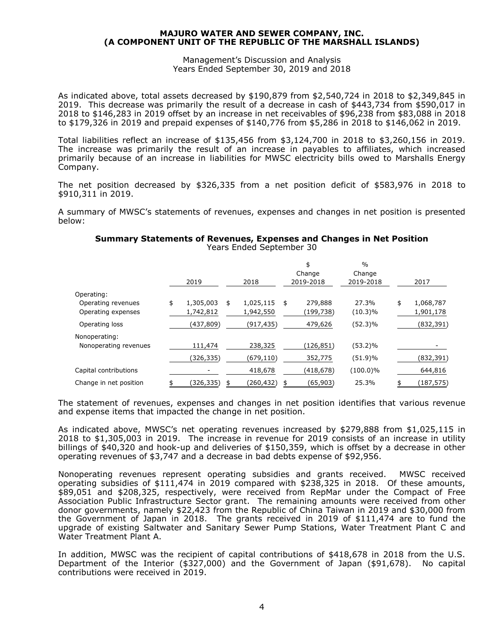Management's Discussion and Analysis Years Ended September 30, 2019 and 2018

As indicated above, total assets decreased by \$190,879 from \$2,540,724 in 2018 to \$2,349,845 in 2019. This decrease was primarily the result of a decrease in cash of \$443,734 from \$590,017 in 2018 to \$146,283 in 2019 offset by an increase in net receivables of \$96,238 from \$83,088 in 2018 to \$179,326 in 2019 and prepaid expenses of \$140,776 from \$5,286 in 2018 to \$146,062 in 2019.

Total liabilities reflect an increase of \$135,456 from \$3,124,700 in 2018 to \$3,260,156 in 2019. The increase was primarily the result of an increase in payables to affiliates, which increased primarily because of an increase in liabilities for MWSC electricity bills owed to Marshalls Energy Company.

The net position decreased by \$326,335 from a net position deficit of \$583,976 in 2018 to \$910,311 in 2019.

A summary of MWSC's statements of revenues, expenses and changes in net position is presented below:

# **Summary Statements of Revenues, Expenses and Changes in Net Position**

|                        | 2019            | 2018            | \$<br>Change<br>2019-2018 | $\%$<br>Change<br>2019-2018 | 2017             |
|------------------------|-----------------|-----------------|---------------------------|-----------------------------|------------------|
| Operating:             |                 |                 |                           |                             |                  |
| Operating revenues     | \$<br>1,305,003 | \$<br>1,025,115 | \$<br>279,888             | 27.3%                       | \$<br>1,068,787  |
| Operating expenses     | 1,742,812       | 1,942,550       | (199,738)                 | (10.3)%                     | 1,901,178        |
| Operating loss         | (437,809)       | (917,435)       | 479,626                   | (52.3)%                     | (832,391)        |
| Nonoperating:          |                 |                 |                           |                             |                  |
| Nonoperating revenues  | 111,474         | 238,325         | (126, 851)                | (53.2)%                     |                  |
|                        | (326,335)       | (679,110)       | 352,775                   | (51.9)%                     | (832,391)        |
| Capital contributions  |                 | 418,678         | (418,678)                 | $(100.0)\%$                 | 644,816          |
| Change in net position | (326,335)       | (260,432)       | (65,903)                  | 25.3%                       | <u>(187,575)</u> |

Years Ended September 30

The statement of revenues, expenses and changes in net position identifies that various revenue and expense items that impacted the change in net position.

As indicated above, MWSC's net operating revenues increased by \$279,888 from \$1,025,115 in 2018 to \$1,305,003 in 2019. The increase in revenue for 2019 consists of an increase in utility billings of \$40,320 and hook-up and deliveries of \$150,359, which is offset by a decrease in other operating revenues of \$3,747 and a decrease in bad debts expense of \$92,956.

Nonoperating revenues represent operating subsidies and grants received. MWSC received operating subsidies of \$111,474 in 2019 compared with \$238,325 in 2018. Of these amounts, \$89,051 and \$208,325, respectively, were received from RepMar under the Compact of Free Association Public Infrastructure Sector grant. The remaining amounts were received from other donor governments, namely \$22,423 from the Republic of China Taiwan in 2019 and \$30,000 from the Government of Japan in 2018. The grants received in 2019 of \$111,474 are to fund the upgrade of existing Saltwater and Sanitary Sewer Pump Stations, Water Treatment Plant C and Water Treatment Plant A.

In addition, MWSC was the recipient of capital contributions of \$418,678 in 2018 from the U.S. Department of the Interior (\$327,000) and the Government of Japan (\$91,678). No capital contributions were received in 2019.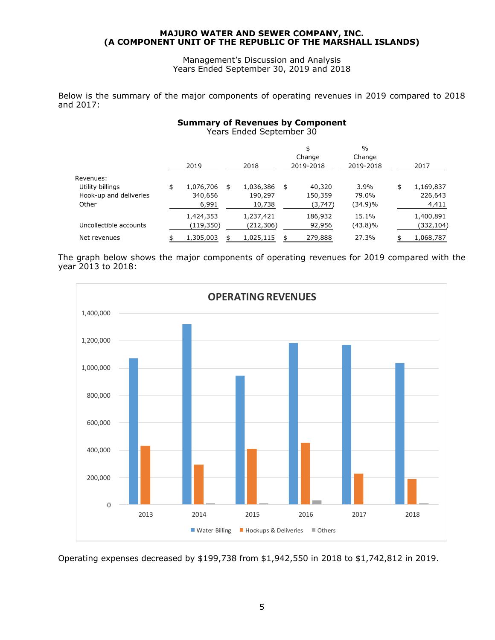Management's Discussion and Analysis Years Ended September 30, 2019 and 2018

Below is the summary of the major components of operating revenues in 2019 compared to 2018 and 2017:

# **Summary of Revenues by Component**

Years Ended September 30

|                        | 2019            | 2018            | \$<br>Change<br>2019-2018 | $\frac{0}{0}$<br>Change<br>2019-2018 | 2017            |
|------------------------|-----------------|-----------------|---------------------------|--------------------------------------|-----------------|
| Revenues:              |                 |                 |                           |                                      |                 |
| Utility billings       | \$<br>1,076,706 | \$<br>1,036,386 | \$<br>40,320              | 3.9%                                 | \$<br>1,169,837 |
| Hook-up and deliveries | 340,656         | 190,297         | 150,359                   | 79.0%                                | 226,643         |
| Other                  | 6,991           | 10,738          | (3,747)                   | (34.9)%                              | 4,411           |
|                        | 1,424,353       | 1,237,421       | 186,932                   | 15.1%                                | 1,400,891       |
| Uncollectible accounts | (119,350)       | (212,306)       | 92,956                    | (43.8)%                              | (332,104)       |
| Net revenues           | 1,305,003       | 1,025,115       | 279,888                   | 27.3%                                | 1,068,787       |

The graph below shows the major components of operating revenues for 2019 compared with the year 2013 to 2018:



Operating expenses decreased by \$199,738 from \$1,942,550 in 2018 to \$1,742,812 in 2019.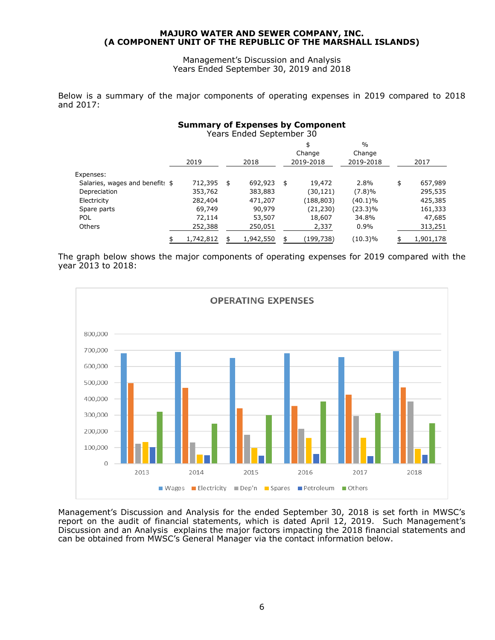Management's Discussion and Analysis Years Ended September 30, 2019 and 2018

Below is a summary of the major components of operating expenses in 2019 compared to 2018 and 2017:

|                                 |           | Years Ended September 30 | <b>Summary of Expenses by Component</b> |                             |               |
|---------------------------------|-----------|--------------------------|-----------------------------------------|-----------------------------|---------------|
|                                 | 2019      | 2018                     | \$<br>Change<br>2019-2018               | $\%$<br>Change<br>2019-2018 | 2017          |
| Expenses:                       |           |                          |                                         |                             |               |
| Salaries, wages and benefits \$ | 712,395   | \$<br>692,923            | \$<br>19,472                            | 2.8%                        | \$<br>657,989 |
| Depreciation                    | 353,762   | 383,883                  | (30,121)                                | (7.8)%                      | 295,535       |
| Electricity                     | 282,404   | 471,207                  | (188,803)                               | (40.1)%                     | 425,385       |
| Spare parts                     | 69,749    | 90,979                   | (21, 230)                               | (23.3)%                     | 161,333       |
| <b>POL</b>                      | 72,114    | 53,507                   | 18,607                                  | 34.8%                       | 47,685        |
| <b>Others</b>                   | 252,388   | 250,051                  | 2,337                                   | $0.9\%$                     | 313,251       |
|                                 | 1,742,812 | 1,942,550                | (199,738)                               | $(10.3)\%$                  | 1,901,178     |

The graph below shows the major components of operating expenses for 2019 compared with the

year 2013 to 2018:



Management's Discussion and Analysis for the ended September 30, 2018 is set forth in MWSC's report on the audit of financial statements, which is dated April 12, 2019. Such Management's Discussion and an Analysis explains the major factors impacting the 2018 financial statements and can be obtained from MWSC's General Manager via the contact information below.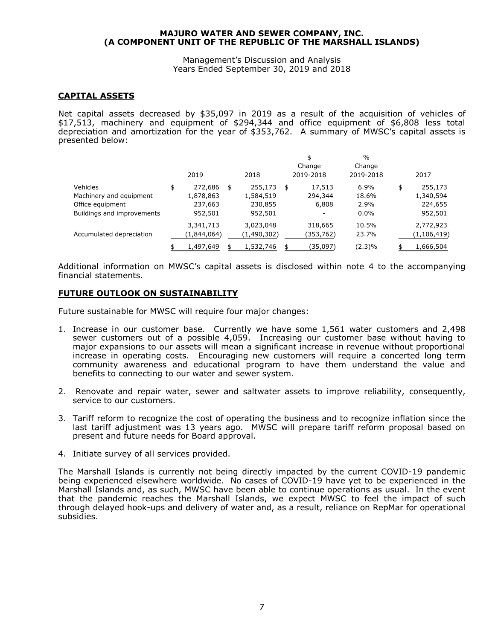Management's Discussion and Analysis Years Ended September 30, 2019 and 2018

# **CAPITAL ASSETS**

Net capital assets decreased by \$35,097 in 2019 as a result of the acquisition of vehicles of \$17,513, machinery and equipment of \$294,344 and office equipment of \$6,808 less total depreciation and amortization for the year of \$353,762. A summary of MWSC's capital assets is presented below:

|                            | 2019        | 2018          | \$<br>Change<br>2019-2018 | $\frac{0}{0}$<br>Change<br>2019-2018 | 2017          |
|----------------------------|-------------|---------------|---------------------------|--------------------------------------|---------------|
| Vehicles                   | 272,686     | \$<br>255,173 | \$<br>17,513              | $6.9\%$                              | \$<br>255,173 |
| Machinery and equipment    | 1,878,863   | 1,584,519     | 294,344                   | 18.6%                                | 1,340,594     |
| Office equipment           | 237,663     | 230,855       | 6,808                     | 2.9%                                 | 224,655       |
| Buildings and improvements | 952,501     | 952,501       |                           | $0.0\%$                              | 952,501       |
|                            | 3,341,713   | 3,023,048     | 318,665                   | 10.5%                                | 2,772,923     |
| Accumulated depreciation   | (1,844,064) | (1,490,302)   | (353,762)                 | 23.7%                                | (1,106,419)   |
|                            | 1,497,649   | 1,532,746     | (35,097)                  | $(2.3)\%$                            | 1,666,504     |

Additional information on MWSC's capital assets is disclosed within note 4 to the accompanying financial statements.

# **FUTURE OUTLOOK ON SUSTAINABILITY**

Future sustainable for MWSC will require four major changes:

- 1. Increase in our customer base. Currently we have some 1,561 water customers and 2,498 sewer customers out of a possible 4,059. Increasing our customer base without having to major expansions to our assets will mean a significant increase in revenue without proportional increase in operating costs. Encouraging new customers will require a concerted long term community awareness and educational program to have them understand the value and benefits to connecting to our water and sewer system.
- 2. Renovate and repair water, sewer and saltwater assets to improve reliability, consequently, service to our customers.
- 3. Tariff reform to recognize the cost of operating the business and to recognize inflation since the last tariff adjustment was 13 years ago. MWSC will prepare tariff reform proposal based on present and future needs for Board approval.
- 4. Initiate survey of all services provided.

The Marshall Islands is currently not being directly impacted by the current COVID-19 pandemic being experienced elsewhere worldwide. No cases of COVID-19 have yet to be experienced in the Marshall Islands and, as such, MWSC have been able to continue operations as usual. In the event that the pandemic reaches the Marshall Islands, we expect MWSC to feel the impact of such through delayed hook-ups and delivery of water and, as a result, reliance on RepMar for operational subsidies.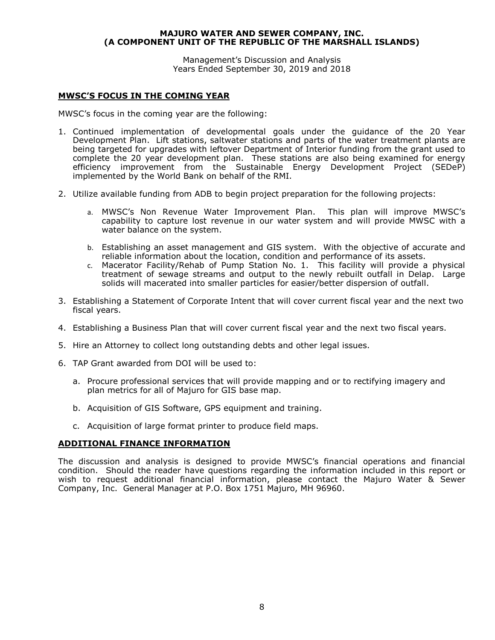Management's Discussion and Analysis Years Ended September 30, 2019 and 2018

# **MWSC'S FOCUS IN THE COMING YEAR**

MWSC's focus in the coming year are the following:

- 1. Continued implementation of developmental goals under the guidance of the 20 Year Development Plan. Lift stations, saltwater stations and parts of the water treatment plants are being targeted for upgrades with leftover Department of Interior funding from the grant used to complete the 20 year development plan. These stations are also being examined for energy efficiency improvement from the Sustainable Energy Development Project (SEDeP) implemented by the World Bank on behalf of the RMI.
- 2. Utilize available funding from ADB to begin project preparation for the following projects:
	- a. MWSC's Non Revenue Water Improvement Plan. This plan will improve MWSC's capability to capture lost revenue in our water system and will provide MWSC with a water balance on the system.
	- b. Establishing an asset management and GIS system. With the objective of accurate and reliable information about the location, condition and performance of its assets.
	- c. Macerator Facility/Rehab of Pump Station No. 1. This facility will provide a physical treatment of sewage streams and output to the newly rebuilt outfall in Delap. Large solids will macerated into smaller particles for easier/better dispersion of outfall.
- 3. Establishing a Statement of Corporate Intent that will cover current fiscal year and the next two fiscal years.
- 4. Establishing a Business Plan that will cover current fiscal year and the next two fiscal years.
- 5. Hire an Attorney to collect long outstanding debts and other legal issues.
- 6. TAP Grant awarded from DOI will be used to:
	- a. Procure professional services that will provide mapping and or to rectifying imagery and plan metrics for all of Majuro for GIS base map.
	- b. Acquisition of GIS Software, GPS equipment and training.
	- c. Acquisition of large format printer to produce field maps.

# **ADDITIONAL FINANCE INFORMATION**

The discussion and analysis is designed to provide MWSC's financial operations and financial condition. Should the reader have questions regarding the information included in this report or wish to request additional financial information, please contact the Majuro Water & Sewer Company, Inc. General Manager at P.O. Box 1751 Majuro, MH 96960.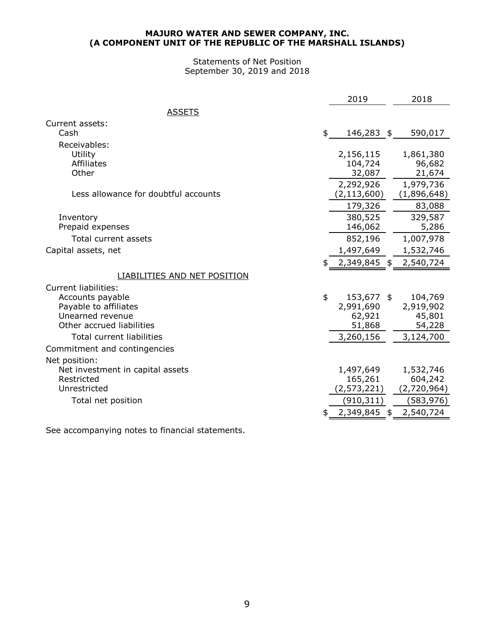# Statements of Net Position September 30, 2019 and 2018

| <b>ASSETS</b><br>Current assets:<br>Cash<br>146,283 \$<br>\$<br>Receivables:<br>Utility<br>2,156,115<br>Affiliates<br>104,724<br>32,087<br>Other<br>2,292,926<br>Less allowance for doubtful accounts<br>(2, 113, 600)<br>179,326<br>380,525<br>Inventory<br>Prepaid expenses<br>146,062<br>Total current assets<br>852,196<br>1,497,649<br>Capital assets, net |             |
|-----------------------------------------------------------------------------------------------------------------------------------------------------------------------------------------------------------------------------------------------------------------------------------------------------------------------------------------------------------------|-------------|
|                                                                                                                                                                                                                                                                                                                                                                 |             |
|                                                                                                                                                                                                                                                                                                                                                                 | 590,017     |
|                                                                                                                                                                                                                                                                                                                                                                 |             |
|                                                                                                                                                                                                                                                                                                                                                                 | 1,861,380   |
|                                                                                                                                                                                                                                                                                                                                                                 | 96,682      |
|                                                                                                                                                                                                                                                                                                                                                                 | 21,674      |
|                                                                                                                                                                                                                                                                                                                                                                 | 1,979,736   |
|                                                                                                                                                                                                                                                                                                                                                                 | (1,896,648) |
|                                                                                                                                                                                                                                                                                                                                                                 | 83,088      |
|                                                                                                                                                                                                                                                                                                                                                                 | 329,587     |
|                                                                                                                                                                                                                                                                                                                                                                 | 5,286       |
|                                                                                                                                                                                                                                                                                                                                                                 | 1,007,978   |
|                                                                                                                                                                                                                                                                                                                                                                 | 1,532,746   |
| 2,349,845 \$                                                                                                                                                                                                                                                                                                                                                    | 2,540,724   |
| LIABILITIES AND NET POSITION                                                                                                                                                                                                                                                                                                                                    |             |
| <b>Current liabilities:</b>                                                                                                                                                                                                                                                                                                                                     |             |
| Accounts payable<br>\$<br>153,677 \$                                                                                                                                                                                                                                                                                                                            | 104,769     |
| 2,991,690<br>Payable to affiliates                                                                                                                                                                                                                                                                                                                              | 2,919,902   |
| Unearned revenue<br>62,921                                                                                                                                                                                                                                                                                                                                      | 45,801      |
| Other accrued liabilities<br>51,868                                                                                                                                                                                                                                                                                                                             | 54,228      |
| <b>Total current liabilities</b><br>3,260,156                                                                                                                                                                                                                                                                                                                   | 3,124,700   |
| Commitment and contingencies                                                                                                                                                                                                                                                                                                                                    |             |
| Net position:                                                                                                                                                                                                                                                                                                                                                   |             |
| 1,497,649<br>Net investment in capital assets                                                                                                                                                                                                                                                                                                                   | 1,532,746   |
| 165,261<br>Restricted                                                                                                                                                                                                                                                                                                                                           | 604,242     |
| Unrestricted<br>(2,573,221)                                                                                                                                                                                                                                                                                                                                     | (2,720,964) |
| (910,311)<br>Total net position                                                                                                                                                                                                                                                                                                                                 | (583, 976)  |
| 2,349,845<br>\$                                                                                                                                                                                                                                                                                                                                                 | 2,540,724   |

See accompanying notes to financial statements.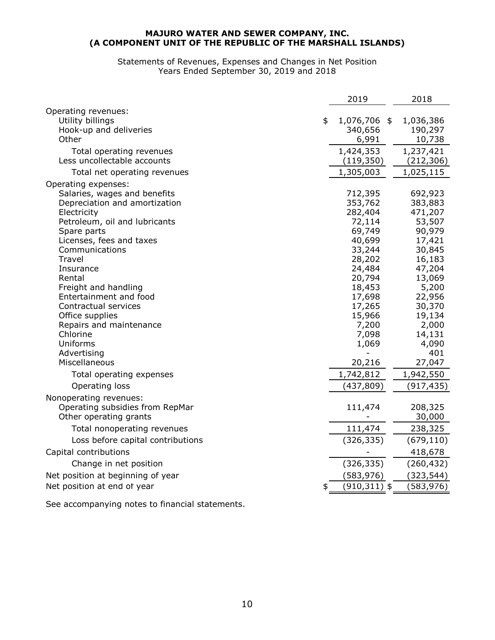#### Statements of Revenues, Expenses and Changes in Net Position Years Ended September 30, 2019 and 2018

|                                                                                                                                                                                                                                                                                                                                                            | 2019                                                                                                                                                 | 2018                                                                                                                                                |
|------------------------------------------------------------------------------------------------------------------------------------------------------------------------------------------------------------------------------------------------------------------------------------------------------------------------------------------------------------|------------------------------------------------------------------------------------------------------------------------------------------------------|-----------------------------------------------------------------------------------------------------------------------------------------------------|
| Operating revenues:<br>Utility billings<br>\$<br>Hook-up and deliveries<br>Other                                                                                                                                                                                                                                                                           | 1,076,706<br>$\frac{4}{5}$<br>340,656<br>6,991                                                                                                       | 1,036,386<br>190,297<br>10,738                                                                                                                      |
| Total operating revenues<br>Less uncollectable accounts                                                                                                                                                                                                                                                                                                    | 1,424,353<br>(119, 350)                                                                                                                              | 1,237,421<br>(212, 306)                                                                                                                             |
| Total net operating revenues                                                                                                                                                                                                                                                                                                                               | 1,305,003                                                                                                                                            | 1,025,115                                                                                                                                           |
| Operating expenses:<br>Salaries, wages and benefits<br>Depreciation and amortization<br>Electricity<br>Petroleum, oil and lubricants<br>Spare parts<br>Licenses, fees and taxes<br>Communications<br>Travel<br>Insurance<br>Rental<br>Freight and handling<br>Entertainment and food<br>Contractual services<br>Office supplies<br>Repairs and maintenance | 712,395<br>353,762<br>282,404<br>72,114<br>69,749<br>40,699<br>33,244<br>28,202<br>24,484<br>20,794<br>18,453<br>17,698<br>17,265<br>15,966<br>7,200 | 692,923<br>383,883<br>471,207<br>53,507<br>90,979<br>17,421<br>30,845<br>16,183<br>47,204<br>13,069<br>5,200<br>22,956<br>30,370<br>19,134<br>2,000 |
| Chlorine<br>Uniforms<br>Advertising<br>Miscellaneous<br>Total operating expenses                                                                                                                                                                                                                                                                           | 7,098<br>1,069<br>20,216<br>1,742,812                                                                                                                | 14,131<br>4,090<br>401<br>27,047<br>1,942,550                                                                                                       |
| Operating loss                                                                                                                                                                                                                                                                                                                                             | (437,809)                                                                                                                                            | (917,435)                                                                                                                                           |
| Nonoperating revenues:<br>Operating subsidies from RepMar<br>Other operating grants<br>Total nonoperating revenues                                                                                                                                                                                                                                         | 111,474<br>111,474                                                                                                                                   | 208,325<br>30,000<br>238,325                                                                                                                        |
| Loss before capital contributions                                                                                                                                                                                                                                                                                                                          | (326, 335)                                                                                                                                           | (679, 110)                                                                                                                                          |
| Capital contributions                                                                                                                                                                                                                                                                                                                                      |                                                                                                                                                      | 418,678                                                                                                                                             |
| Change in net position                                                                                                                                                                                                                                                                                                                                     | (326, 335)                                                                                                                                           | (260, 432)                                                                                                                                          |
| Net position at beginning of year                                                                                                                                                                                                                                                                                                                          | (583, 976)                                                                                                                                           | (323, 544)                                                                                                                                          |
| Net position at end of year<br>\$                                                                                                                                                                                                                                                                                                                          | $(910, 311)$ \$                                                                                                                                      | (583,976)                                                                                                                                           |
|                                                                                                                                                                                                                                                                                                                                                            |                                                                                                                                                      |                                                                                                                                                     |

See accompanying notes to financial statements.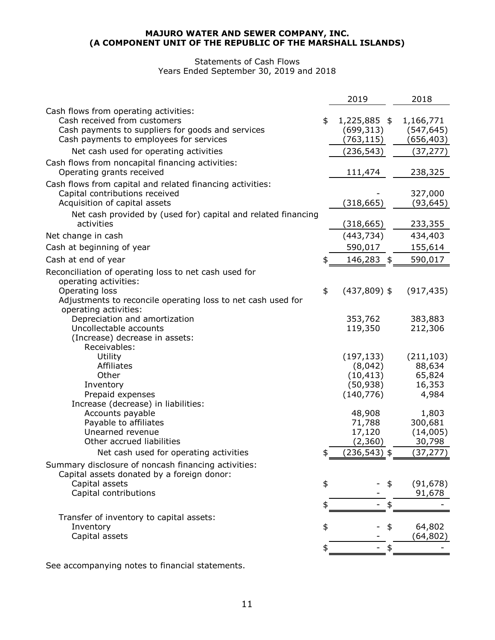# Statements of Cash Flows Years Ended September 30, 2019 and 2018

|                                                               | 2019                  | 2018                 |
|---------------------------------------------------------------|-----------------------|----------------------|
| Cash flows from operating activities:                         |                       |                      |
| Cash received from customers                                  | \$<br>1,225,885 \$    | 1,166,771            |
| Cash payments to suppliers for goods and services             | (699, 313)            | (547, 645)           |
| Cash payments to employees for services                       | (763, 115)            | (656,403)            |
| Net cash used for operating activities                        | (236, 543)            | (37, 277)            |
| Cash flows from noncapital financing activities:              |                       |                      |
| Operating grants received                                     | 111,474               | 238,325              |
| Cash flows from capital and related financing activities:     |                       |                      |
| Capital contributions received                                |                       | 327,000              |
| Acquisition of capital assets                                 | (318, 665)            | (93, 645)            |
| Net cash provided by (used for) capital and related financing |                       |                      |
| activities                                                    | (318, 665)            | 233,355              |
| Net change in cash                                            | (443, 734)            | 434,403              |
| Cash at beginning of year                                     | 590,017               | 155,614              |
| Cash at end of year                                           | \$<br>146,283 \$      | 590,017              |
| Reconciliation of operating loss to net cash used for         |                       |                      |
| operating activities:                                         |                       |                      |
| Operating loss                                                | \$<br>$(437,809)$ \$  | (917, 435)           |
| Adjustments to reconcile operating loss to net cash used for  |                       |                      |
| operating activities:                                         |                       |                      |
| Depreciation and amortization                                 | 353,762               | 383,883              |
| Uncollectable accounts                                        | 119,350               | 212,306              |
| (Increase) decrease in assets:                                |                       |                      |
| Receivables:                                                  |                       |                      |
| Utility<br>Affiliates                                         | (197, 133)<br>(8,042) | (211, 103)<br>88,634 |
| Other                                                         | (10, 413)             | 65,824               |
| Inventory                                                     | (50, 938)             | 16,353               |
| Prepaid expenses                                              | (140, 776)            | 4,984                |
| Increase (decrease) in liabilities:                           |                       |                      |
| Accounts payable                                              | 48,908                | 1,803                |
| Payable to affiliates                                         | 71,788                | 300,681              |
| Unearned revenue                                              | 17,120                | (14,005)             |
| Other accrued liabilities                                     | (2,360)               | 30,798               |
| Net cash used for operating activities                        | \$<br>$(236, 543)$ \$ | (37, 277)            |
| Summary disclosure of noncash financing activities:           |                       |                      |
| Capital assets donated by a foreign donor:                    |                       |                      |
| Capital assets                                                | \$<br>\$              | (91, 678)            |
| Capital contributions                                         |                       | 91,678               |
|                                                               |                       |                      |
| Transfer of inventory to capital assets:                      |                       |                      |
| Inventory                                                     | \$<br>\$              | 64,802               |
| Capital assets                                                |                       | (64, 802)            |
|                                                               |                       |                      |

See accompanying notes to financial statements.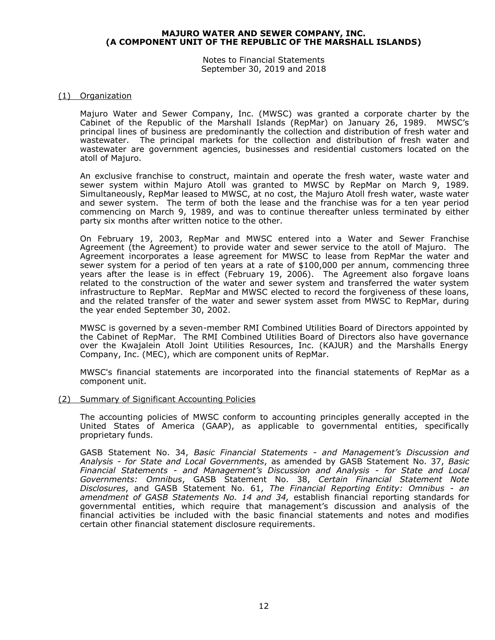Notes to Financial Statements September 30, 2019 and 2018

#### (1) Organization

Majuro Water and Sewer Company, Inc. (MWSC) was granted a corporate charter by the Cabinet of the Republic of the Marshall Islands (RepMar) on January 26, 1989. MWSC's principal lines of business are predominantly the collection and distribution of fresh water and wastewater. The principal markets for the collection and distribution of fresh water and wastewater are government agencies, businesses and residential customers located on the atoll of Majuro.

An exclusive franchise to construct, maintain and operate the fresh water, waste water and sewer system within Majuro Atoll was granted to MWSC by RepMar on March 9, 1989. Simultaneously, RepMar leased to MWSC, at no cost, the Majuro Atoll fresh water, waste water and sewer system. The term of both the lease and the franchise was for a ten year period commencing on March 9, 1989, and was to continue thereafter unless terminated by either party six months after written notice to the other.

On February 19, 2003, RepMar and MWSC entered into a Water and Sewer Franchise Agreement (the Agreement) to provide water and sewer service to the atoll of Majuro. The Agreement incorporates a lease agreement for MWSC to lease from RepMar the water and sewer system for a period of ten years at a rate of \$100,000 per annum, commencing three years after the lease is in effect (February 19, 2006). The Agreement also forgave loans related to the construction of the water and sewer system and transferred the water system infrastructure to RepMar. RepMar and MWSC elected to record the forgiveness of these loans, and the related transfer of the water and sewer system asset from MWSC to RepMar, during the year ended September 30, 2002.

MWSC is governed by a seven-member RMI Combined Utilities Board of Directors appointed by the Cabinet of RepMar. The RMI Combined Utilities Board of Directors also have governance over the Kwajalein Atoll Joint Utilities Resources, Inc. (KAJUR) and the Marshalls Energy Company, Inc. (MEC), which are component units of RepMar.

MWSC's financial statements are incorporated into the financial statements of RepMar as a component unit.

#### (2) Summary of Significant Accounting Policies

The accounting policies of MWSC conform to accounting principles generally accepted in the United States of America (GAAP), as applicable to governmental entities, specifically proprietary funds.

GASB Statement No. 34, *Basic Financial Statements - and Management's Discussion and Analysis - for State and Local Governments*, as amended by GASB Statement No. 37, *Basic Financial Statements - and Management's Discussion and Analysis - for State and Local Governments: Omnibus*, GASB Statement No. 38, *Certain Financial Statement Note Disclosures*, and GASB Statement No. 61, *The Financial Reporting Entity: Omnibus - an amendment of GASB Statements No. 14 and 34,* establish financial reporting standards for governmental entities, which require that management's discussion and analysis of the financial activities be included with the basic financial statements and notes and modifies certain other financial statement disclosure requirements.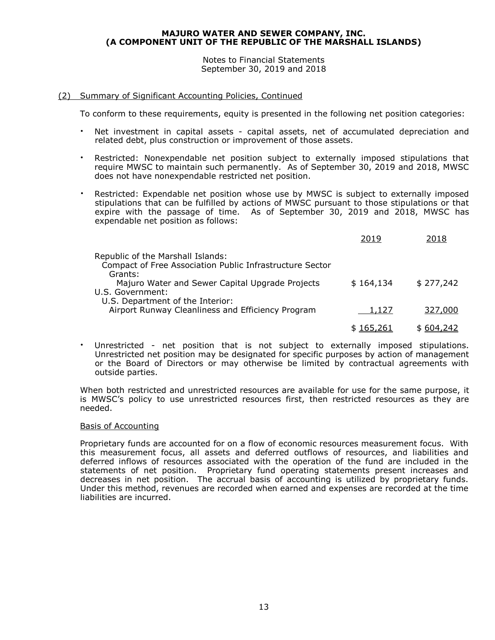Notes to Financial Statements September 30, 2019 and 2018

#### (2) Summary of Significant Accounting Policies, Continued

To conform to these requirements, equity is presented in the following net position categories:

- Net investment in capital assets capital assets, net of accumulated depreciation and related debt, plus construction or improvement of those assets.
- Restricted: Nonexpendable net position subject to externally imposed stipulations that require MWSC to maintain such permanently. As of September 30, 2019 and 2018, MWSC does not have nonexpendable restricted net position.
- Restricted: Expendable net position whose use by MWSC is subject to externally imposed stipulations that can be fulfilled by actions of MWSC pursuant to those stipulations or that expire with the passage of time. As of September 30, 2019 and 2018, MWSC has expendable net position as follows:

|                                                                                                          | 2019      | 2018      |
|----------------------------------------------------------------------------------------------------------|-----------|-----------|
| Republic of the Marshall Islands:<br>Compact of Free Association Public Infrastructure Sector<br>Grants: |           |           |
| Majuro Water and Sewer Capital Upgrade Projects<br>U.S. Government:                                      | \$164,134 | \$277,242 |
| U.S. Department of the Interior:<br>Airport Runway Cleanliness and Efficiency Program                    | 1,127     | 327,000   |
|                                                                                                          | \$165,261 | \$604,242 |

 Unrestricted - net position that is not subject to externally imposed stipulations. Unrestricted net position may be designated for specific purposes by action of management or the Board of Directors or may otherwise be limited by contractual agreements with outside parties.

When both restricted and unrestricted resources are available for use for the same purpose, it is MWSC's policy to use unrestricted resources first, then restricted resources as they are needed.

#### Basis of Accounting

Proprietary funds are accounted for on a flow of economic resources measurement focus. With this measurement focus, all assets and deferred outflows of resources, and liabilities and deferred inflows of resources associated with the operation of the fund are included in the statements of net position. Proprietary fund operating statements present increases and decreases in net position. The accrual basis of accounting is utilized by proprietary funds. Under this method, revenues are recorded when earned and expenses are recorded at the time liabilities are incurred.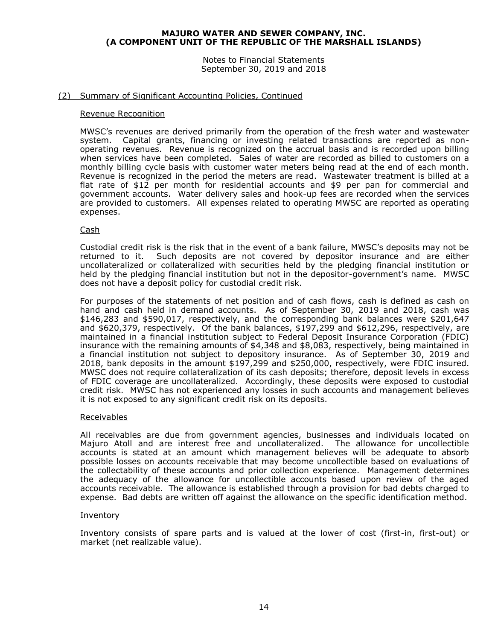Notes to Financial Statements September 30, 2019 and 2018

#### (2) Summary of Significant Accounting Policies, Continued

#### Revenue Recognition

MWSC's revenues are derived primarily from the operation of the fresh water and wastewater system. Capital grants, financing or investing related transactions are reported as nonoperating revenues. Revenue is recognized on the accrual basis and is recorded upon billing when services have been completed. Sales of water are recorded as billed to customers on a monthly billing cycle basis with customer water meters being read at the end of each month. Revenue is recognized in the period the meters are read. Wastewater treatment is billed at a flat rate of \$12 per month for residential accounts and \$9 per pan for commercial and government accounts. Water delivery sales and hook-up fees are recorded when the services are provided to customers. All expenses related to operating MWSC are reported as operating expenses.

#### Cash

Custodial credit risk is the risk that in the event of a bank failure, MWSC's deposits may not be returned to it. Such deposits are not covered by depositor insurance and are either uncollateralized or collateralized with securities held by the pledging financial institution or held by the pledging financial institution but not in the depositor-government's name. MWSC does not have a deposit policy for custodial credit risk.

For purposes of the statements of net position and of cash flows, cash is defined as cash on hand and cash held in demand accounts. As of September 30, 2019 and 2018, cash was \$146,283 and \$590,017, respectively, and the corresponding bank balances were \$201,647 and \$620,379, respectively. Of the bank balances, \$197,299 and \$612,296, respectively, are maintained in a financial institution subject to Federal Deposit Insurance Corporation (FDIC) insurance with the remaining amounts of \$4,348 and \$8,083, respectively, being maintained in a financial institution not subject to depository insurance. As of September 30, 2019 and 2018, bank deposits in the amount \$197,299 and \$250,000, respectively, were FDIC insured. MWSC does not require collateralization of its cash deposits; therefore, deposit levels in excess of FDIC coverage are uncollateralized. Accordingly, these deposits were exposed to custodial credit risk. MWSC has not experienced any losses in such accounts and management believes it is not exposed to any significant credit risk on its deposits.

#### Receivables

All receivables are due from government agencies, businesses and individuals located on Majuro Atoll and are interest free and uncollateralized. The allowance for uncollectible accounts is stated at an amount which management believes will be adequate to absorb possible losses on accounts receivable that may become uncollectible based on evaluations of the collectability of these accounts and prior collection experience. Management determines the adequacy of the allowance for uncollectible accounts based upon review of the aged accounts receivable. The allowance is established through a provision for bad debts charged to expense. Bad debts are written off against the allowance on the specific identification method.

#### **Inventory**

Inventory consists of spare parts and is valued at the lower of cost (first-in, first-out) or market (net realizable value).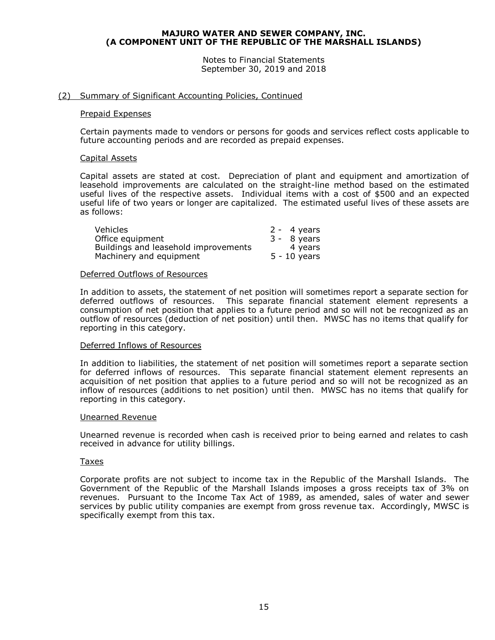Notes to Financial Statements September 30, 2019 and 2018

#### (2) Summary of Significant Accounting Policies, Continued

#### Prepaid Expenses

Certain payments made to vendors or persons for goods and services reflect costs applicable to future accounting periods and are recorded as prepaid expenses.

#### Capital Assets

Capital assets are stated at cost. Depreciation of plant and equipment and amortization of leasehold improvements are calculated on the straight-line method based on the estimated useful lives of the respective assets. Individual items with a cost of \$500 and an expected useful life of two years or longer are capitalized. The estimated useful lives of these assets are as follows:

| <b>Vehicles</b>                      | $2 - 4$ years |
|--------------------------------------|---------------|
| Office equipment                     | $3 - 8$ years |
| Buildings and leasehold improvements | 4 years       |
| Machinery and equipment              | 5 - 10 years  |

#### Deferred Outflows of Resources

In addition to assets, the statement of net position will sometimes report a separate section for deferred outflows of resources. This separate financial statement element represents a consumption of net position that applies to a future period and so will not be recognized as an outflow of resources (deduction of net position) until then. MWSC has no items that qualify for reporting in this category.

#### Deferred Inflows of Resources

In addition to liabilities, the statement of net position will sometimes report a separate section for deferred inflows of resources. This separate financial statement element represents an acquisition of net position that applies to a future period and so will not be recognized as an inflow of resources (additions to net position) until then. MWSC has no items that qualify for reporting in this category.

#### Unearned Revenue

Unearned revenue is recorded when cash is received prior to being earned and relates to cash received in advance for utility billings.

#### Taxes

Corporate profits are not subject to income tax in the Republic of the Marshall Islands. The Government of the Republic of the Marshall Islands imposes a gross receipts tax of 3% on revenues. Pursuant to the Income Tax Act of 1989, as amended, sales of water and sewer services by public utility companies are exempt from gross revenue tax. Accordingly, MWSC is specifically exempt from this tax.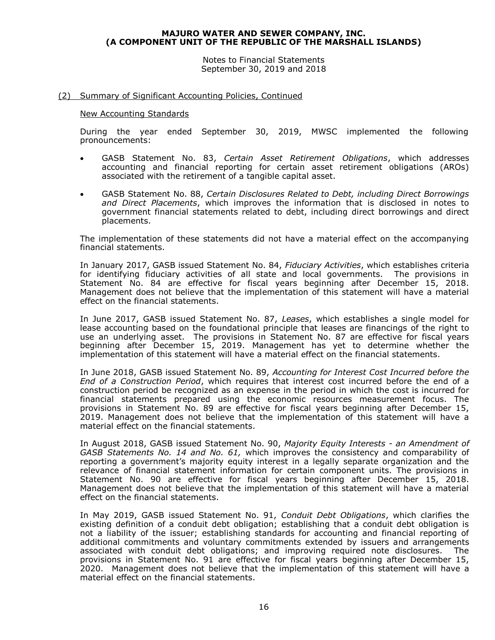Notes to Financial Statements September 30, 2019 and 2018

#### (2) Summary of Significant Accounting Policies, Continued

#### New Accounting Standards

During the year ended September 30, 2019, MWSC implemented the following pronouncements:

- GASB Statement No. 83, *Certain Asset Retirement Obligations*, which addresses accounting and financial reporting for certain asset retirement obligations (AROs) associated with the retirement of a tangible capital asset.
- GASB Statement No. 88, *Certain Disclosures Related to Debt, including Direct Borrowings and Direct Placements*, which improves the information that is disclosed in notes to government financial statements related to debt, including direct borrowings and direct placements.

The implementation of these statements did not have a material effect on the accompanying financial statements.

In January 2017, GASB issued Statement No. 84, *Fiduciary Activities*, which establishes criteria for identifying fiduciary activities of all state and local governments. The provisions in Statement No. 84 are effective for fiscal years beginning after December 15, 2018. Management does not believe that the implementation of this statement will have a material effect on the financial statements.

In June 2017, GASB issued Statement No. 87, *Leases*, which establishes a single model for lease accounting based on the foundational principle that leases are financings of the right to use an underlying asset. The provisions in Statement No. 87 are effective for fiscal years beginning after December 15, 2019. Management has yet to determine whether the implementation of this statement will have a material effect on the financial statements.

In June 2018, GASB issued Statement No. 89, *Accounting for Interest Cost Incurred before the End of a Construction Period*, which requires that interest cost incurred before the end of a construction period be recognized as an expense in the period in which the cost is incurred for financial statements prepared using the economic resources measurement focus. The provisions in Statement No. 89 are effective for fiscal years beginning after December 15, 2019. Management does not believe that the implementation of this statement will have a material effect on the financial statements.

In August 2018, GASB issued Statement No. 90, *Majority Equity Interests - an Amendment of GASB Statements No. 14 and No. 61,* which improves the consistency and comparability of reporting a government's majority equity interest in a legally separate organization and the relevance of financial statement information for certain component units. The provisions in Statement No. 90 are effective for fiscal years beginning after December 15, 2018. Management does not believe that the implementation of this statement will have a material effect on the financial statements.

In May 2019, GASB issued Statement No. 91, *Conduit Debt Obligations*, which clarifies the existing definition of a conduit debt obligation; establishing that a conduit debt obligation is not a liability of the issuer; establishing standards for accounting and financial reporting of additional commitments and voluntary commitments extended by issuers and arrangements associated with conduit debt obligations; and improving required note disclosures. The provisions in Statement No. 91 are effective for fiscal years beginning after December 15, 2020. Management does not believe that the implementation of this statement will have a material effect on the financial statements.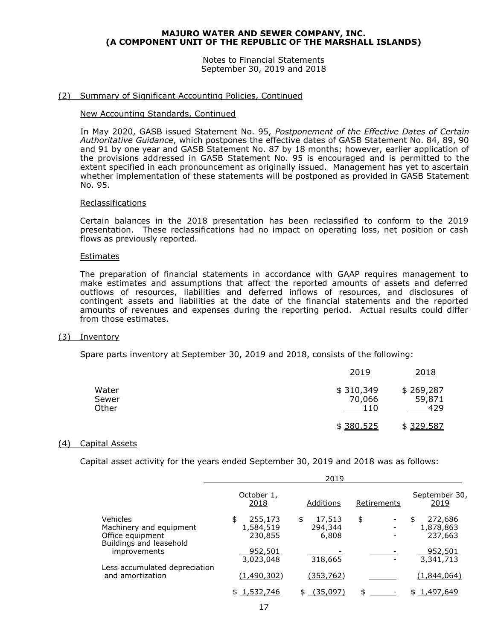Notes to Financial Statements September 30, 2019 and 2018

#### (2) Summary of Significant Accounting Policies, Continued

#### New Accounting Standards, Continued

In May 2020, GASB issued Statement No. 95, *Postponement of the Effective Dates of Certain Authoritative Guidance*, which postpones the effective dates of GASB Statement No. 84, 89, 90 and 91 by one year and GASB Statement No. 87 by 18 months; however, earlier application of the provisions addressed in GASB Statement No. 95 is encouraged and is permitted to the extent specified in each pronouncement as originally issued. Management has yet to ascertain whether implementation of these statements will be postponed as provided in GASB Statement No. 95.

#### Reclassifications

Certain balances in the 2018 presentation has been reclassified to conform to the 2019 presentation. These reclassifications had no impact on operating loss, net position or cash flows as previously reported.

#### Estimates

The preparation of financial statements in accordance with GAAP requires management to make estimates and assumptions that affect the reported amounts of assets and deferred outflows of resources, liabilities and deferred inflows of resources, and disclosures of contingent assets and liabilities at the date of the financial statements and the reported amounts of revenues and expenses during the reporting period. Actual results could differ from those estimates.

#### (3) Inventory

Spare parts inventory at September 30, 2019 and 2018, consists of the following:

|                         | 2019                       | 2018                       |
|-------------------------|----------------------------|----------------------------|
| Water<br>Sewer<br>Other | \$310,349<br>70,066<br>110 | \$269,287<br>59,871<br>429 |
|                         | \$380,525                  | \$329,587                  |

#### (4) Capital Assets

Capital asset activity for the years ended September 30, 2019 and 2018 was as follows:

|                                                                                    |                                       | 2019                             |             |                                       |
|------------------------------------------------------------------------------------|---------------------------------------|----------------------------------|-------------|---------------------------------------|
|                                                                                    | October 1,<br>2018                    | Additions                        | Retirements | September 30,<br>2019                 |
| Vehicles<br>Machinery and equipment<br>Office equipment<br>Buildings and leasehold | 255,173<br>\$<br>1,584,519<br>230,855 | 17,513<br>\$<br>294,344<br>6,808 | \$          | 272,686<br>\$<br>1,878,863<br>237,663 |
| improvements                                                                       | <u>952,501</u><br>3,023,048           | 318,665                          |             | <u>952,501</u><br>3,341,713           |
| Less accumulated depreciation<br>and amortization                                  | (1,490,302)                           | <u>(353,762)</u>                 |             | (1,844,064)                           |
|                                                                                    | \$1,532,746                           | $$-(35,097)$                     | \$          | \$1.497.649                           |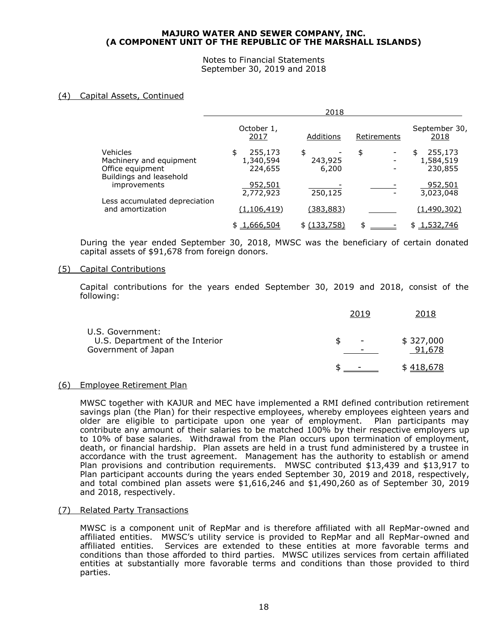Notes to Financial Statements September 30, 2019 and 2018

#### (4) Capital Assets, Continued

|                                                                                    | 2018                                  |                        |             |                                       |
|------------------------------------------------------------------------------------|---------------------------------------|------------------------|-------------|---------------------------------------|
|                                                                                    | October 1,<br><u> 2017</u>            | Additions              | Retirements | September 30,<br>2018                 |
| Vehicles<br>Machinery and equipment<br>Office equipment<br>Buildings and leasehold | 255,173<br>\$<br>1,340,594<br>224,655 | \$<br>243,925<br>6,200 | \$          | 255,173<br>\$<br>1,584,519<br>230,855 |
| improvements                                                                       | 952,501<br>2,772,923                  | 250,125                |             | 952,501<br>3,023,048                  |
| Less accumulated depreciation<br>and amortization                                  | <u>(1,106,419)</u>                    | <u>(383,883)</u>       |             | (1,490,302)                           |
|                                                                                    | 1,666,504<br>\$                       | \$ (133,758)           | \$          | \$1,532,746                           |

During the year ended September 30, 2018, MWSC was the beneficiary of certain donated capital assets of \$91,678 from foreign donors.

#### (5) Capital Contributions

Capital contributions for the years ended September 30, 2019 and 2018, consist of the following:

|                                                                            | 2019                     | 2018                |
|----------------------------------------------------------------------------|--------------------------|---------------------|
| U.S. Government:<br>U.S. Department of the Interior<br>Government of Japan | $\overline{\phantom{a}}$ | \$327,000<br>91,678 |
|                                                                            | $ -$                     | \$418,678           |

#### (6) Employee Retirement Plan

MWSC together with KAJUR and MEC have implemented a RMI defined contribution retirement savings plan (the Plan) for their respective employees, whereby employees eighteen years and older are eligible to participate upon one year of employment. Plan participants may contribute any amount of their salaries to be matched 100% by their respective employers up to 10% of base salaries. Withdrawal from the Plan occurs upon termination of employment, death, or financial hardship. Plan assets are held in a trust fund administered by a trustee in accordance with the trust agreement. Management has the authority to establish or amend Plan provisions and contribution requirements. MWSC contributed \$13,439 and \$13,917 to Plan participant accounts during the years ended September 30, 2019 and 2018, respectively, and total combined plan assets were \$1,616,246 and \$1,490,260 as of September 30, 2019 and 2018, respectively.

#### (7) Related Party Transactions

MWSC is a component unit of RepMar and is therefore affiliated with all RepMar-owned and affiliated entities. MWSC's utility service is provided to RepMar and all RepMar-owned and affiliated entities. Services are extended to these entities at more favorable terms and conditions than those afforded to third parties. MWSC utilizes services from certain affiliated entities at substantially more favorable terms and conditions than those provided to third parties.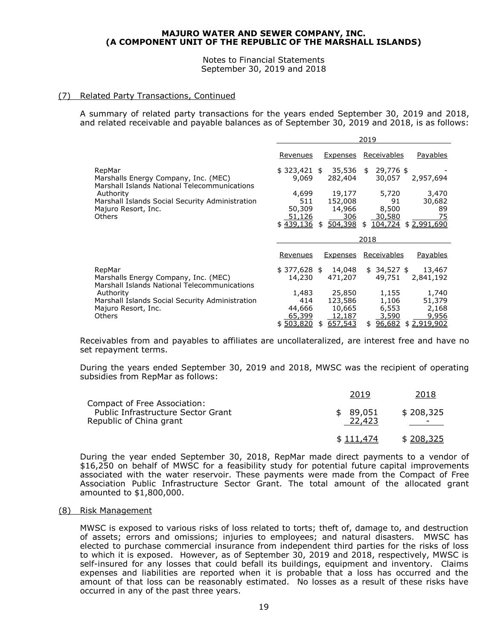#### Notes to Financial Statements September 30, 2019 and 2018

## (7) Related Party Transactions, Continued

A summary of related party transactions for the years ended September 30, 2019 and 2018, and related receivable and payable balances as of September 30, 2019 and 2018, is as follows:

|                                                                                                | 2019                   |                   |                                        |
|------------------------------------------------------------------------------------------------|------------------------|-------------------|----------------------------------------|
|                                                                                                | Revenues               | Expenses          | Receivables<br>Payables                |
| RepMar<br>Marshalls Energy Company, Inc. (MEC)<br>Marshall Islands National Telecommunications | $$323,421$ \$<br>9,069 | 35,536<br>282,404 | 29,776 \$<br>\$<br>30,057<br>2,957,694 |
| Authority                                                                                      | 4,699                  | 19,177            | 5,720<br>3,470                         |
| Marshall Islands Social Security Administration                                                | 511                    | 152,008           | 91<br>30,682                           |
| Majuro Resort, Inc.                                                                            | 50,309                 | 14,966            | 8,500<br>89                            |
| <b>Others</b>                                                                                  | 51,126                 | 306               | 75<br>30,580                           |
|                                                                                                | \$439,136              | 504,398<br>\$     | \$2,991,690<br>104,724<br>\$           |
|                                                                                                |                        |                   | 2018                                   |
|                                                                                                | Revenues               | Expenses          | Receivables<br>Payables                |
| RepMar                                                                                         | $$377,628$ \$          | 14,048            | $$34,527$ \$<br>13,467                 |
| Marshalls Energy Company, Inc. (MEC)<br>Marshall Islands National Telecommunications           | 14,230                 | 471,207           | 49,751<br>2,841,192                    |
| Authority                                                                                      | 1,483                  | 25,850            | 1,155<br>1,740                         |
| Marshall Islands Social Security Administration                                                | 414                    | 123,586           | 1,106<br>51,379                        |
| Majuro Resort, Inc.                                                                            | 44,666                 | 10,665            | 6,553<br>2,168                         |
| <b>Others</b>                                                                                  | 65,399                 | 12,187            | 3,590<br>9,956                         |
|                                                                                                | \$503,820              | 657.543           | 96,682                                 |

Receivables from and payables to affiliates are uncollateralized, are interest free and have no set repayment terms.

During the years ended September 30, 2019 and 2018, MWSC was the recipient of operating subsidies from RepMar as follows:

|                                                                                               | 2019                   | 2018      |
|-----------------------------------------------------------------------------------------------|------------------------|-----------|
| Compact of Free Association:<br>Public Infrastructure Sector Grant<br>Republic of China grant | 89,051<br>\$<br>22,423 | \$208,325 |
|                                                                                               | \$111,474              | \$208,325 |

During the year ended September 30, 2018, RepMar made direct payments to a vendor of \$16,250 on behalf of MWSC for a feasibility study for potential future capital improvements associated with the water reservoir. These payments were made from the Compact of Free Association Public Infrastructure Sector Grant. The total amount of the allocated grant amounted to \$1,800,000.

#### (8) Risk Management

MWSC is exposed to various risks of loss related to torts; theft of, damage to, and destruction of assets; errors and omissions; injuries to employees; and natural disasters. MWSC has elected to purchase commercial insurance from independent third parties for the risks of loss to which it is exposed. However, as of September 30, 2019 and 2018, respectively, MWSC is self-insured for any losses that could befall its buildings, equipment and inventory. Claims expenses and liabilities are reported when it is probable that a loss has occurred and the amount of that loss can be reasonably estimated. No losses as a result of these risks have occurred in any of the past three years.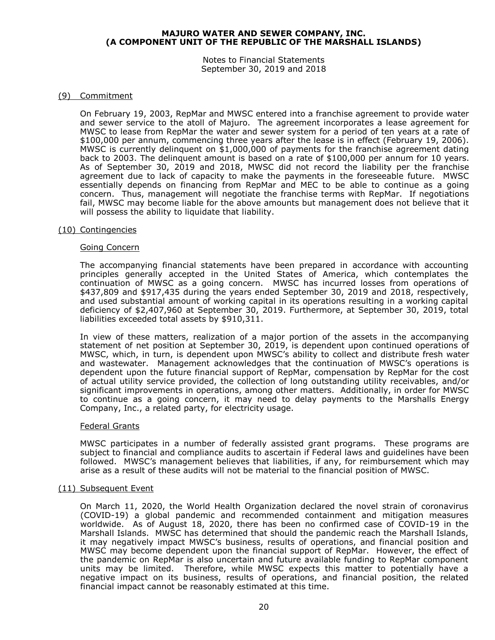Notes to Financial Statements September 30, 2019 and 2018

#### (9) Commitment

On February 19, 2003, RepMar and MWSC entered into a franchise agreement to provide water and sewer service to the atoll of Majuro. The agreement incorporates a lease agreement for MWSC to lease from RepMar the water and sewer system for a period of ten years at a rate of \$100,000 per annum, commencing three years after the lease is in effect (February 19, 2006). MWSC is currently delinquent on \$1,000,000 of payments for the franchise agreement dating back to 2003. The delinquent amount is based on a rate of \$100,000 per annum for 10 years. As of September 30, 2019 and 2018, MWSC did not record the liability per the franchise agreement due to lack of capacity to make the payments in the foreseeable future. MWSC essentially depends on financing from RepMar and MEC to be able to continue as a going concern. Thus, management will negotiate the franchise terms with RepMar. If negotiations fail, MWSC may become liable for the above amounts but management does not believe that it will possess the ability to liquidate that liability.

#### (10) Contingencies

#### Going Concern

The accompanying financial statements have been prepared in accordance with accounting principles generally accepted in the United States of America, which contemplates the continuation of MWSC as a going concern. MWSC has incurred losses from operations of \$437,809 and \$917,435 during the years ended September 30, 2019 and 2018, respectively, and used substantial amount of working capital in its operations resulting in a working capital deficiency of \$2,407,960 at September 30, 2019. Furthermore, at September 30, 2019, total liabilities exceeded total assets by \$910,311.

In view of these matters, realization of a major portion of the assets in the accompanying statement of net position at September 30, 2019, is dependent upon continued operations of MWSC, which, in turn, is dependent upon MWSC's ability to collect and distribute fresh water and wastewater. Management acknowledges that the continuation of MWSC's operations is dependent upon the future financial support of RepMar, compensation by RepMar for the cost of actual utility service provided, the collection of long outstanding utility receivables, and/or significant improvements in operations, among other matters. Additionally, in order for MWSC to continue as a going concern, it may need to delay payments to the Marshalls Energy Company, Inc., a related party, for electricity usage.

#### Federal Grants

MWSC participates in a number of federally assisted grant programs. These programs are subject to financial and compliance audits to ascertain if Federal laws and guidelines have been followed. MWSC's management believes that liabilities, if any, for reimbursement which may arise as a result of these audits will not be material to the financial position of MWSC.

#### (11) Subsequent Event

On March 11, 2020, the World Health Organization declared the novel strain of coronavirus (COVID-19) a global pandemic and recommended containment and mitigation measures worldwide. As of August 18, 2020, there has been no confirmed case of COVID-19 in the Marshall Islands. MWSC has determined that should the pandemic reach the Marshall Islands, it may negatively impact MWSC's business, results of operations, and financial position and MWSC may become dependent upon the financial support of RepMar. However, the effect of the pandemic on RepMar is also uncertain and future available funding to RepMar component units may be limited. Therefore, while MWSC expects this matter to potentially have a negative impact on its business, results of operations, and financial position, the related financial impact cannot be reasonably estimated at this time.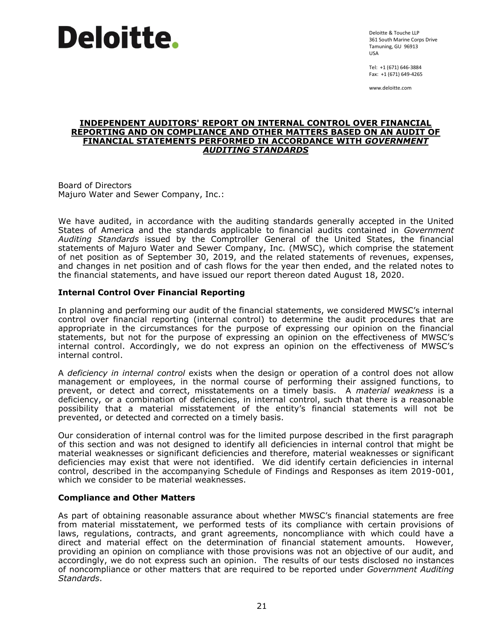

Deloitte & Touche LLP 361 South Marine Corps Drive Tamuning, GU 96913 USA

Tel: +1 (671) 646-3884 Fax: +1 (671) 649-4265

www.deloitte.com

#### **INDEPENDENT AUDITORS' REPORT ON INTERNAL CONTROL OVER FINANCIAL REPORTING AND ON COMPLIANCE AND OTHER MATTERS BASED ON AN AUDIT OF FINANCIAL STATEMENTS PERFORMED IN ACCORDANCE WITH** *GOVERNMENT AUDITING STANDARDS*

Board of Directors Majuro Water and Sewer Company, Inc.:

We have audited, in accordance with the auditing standards generally accepted in the United States of America and the standards applicable to financial audits contained in *Government Auditing Standards* issued by the Comptroller General of the United States, the financial statements of Majuro Water and Sewer Company, Inc. (MWSC), which comprise the statement of net position as of September 30, 2019, and the related statements of revenues, expenses, and changes in net position and of cash flows for the year then ended, and the related notes to the financial statements, and have issued our report thereon dated August 18, 2020.

# **Internal Control Over Financial Reporting**

In planning and performing our audit of the financial statements, we considered MWSC's internal control over financial reporting (internal control) to determine the audit procedures that are appropriate in the circumstances for the purpose of expressing our opinion on the financial statements, but not for the purpose of expressing an opinion on the effectiveness of MWSC's internal control. Accordingly, we do not express an opinion on the effectiveness of MWSC's internal control.

A *deficiency in internal control* exists when the design or operation of a control does not allow management or employees, in the normal course of performing their assigned functions, to prevent, or detect and correct, misstatements on a timely basis. A *material weakness* is a deficiency, or a combination of deficiencies, in internal control, such that there is a reasonable possibility that a material misstatement of the entity's financial statements will not be prevented, or detected and corrected on a timely basis.

Our consideration of internal control was for the limited purpose described in the first paragraph of this section and was not designed to identify all deficiencies in internal control that might be material weaknesses or significant deficiencies and therefore, material weaknesses or significant deficiencies may exist that were not identified. We did identify certain deficiencies in internal control, described in the accompanying Schedule of Findings and Responses as item 2019-001, which we consider to be material weaknesses.

#### **Compliance and Other Matters**

As part of obtaining reasonable assurance about whether MWSC's financial statements are free from material misstatement, we performed tests of its compliance with certain provisions of laws, regulations, contracts, and grant agreements, noncompliance with which could have a direct and material effect on the determination of financial statement amounts. However, providing an opinion on compliance with those provisions was not an objective of our audit, and accordingly, we do not express such an opinion. The results of our tests disclosed no instances of noncompliance or other matters that are required to be reported under *Government Auditing Standards*.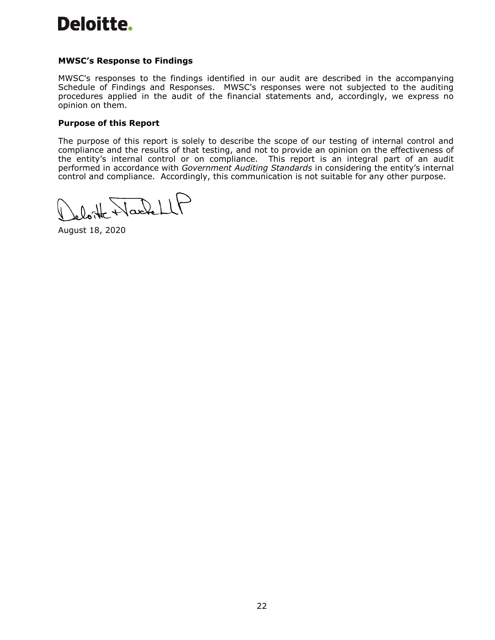# Deloitte.

# **MWSC's Response to Findings**

MWSC's responses to the findings identified in our audit are described in the accompanying Schedule of Findings and Responses. MWSC's responses were not subjected to the auditing procedures applied in the audit of the financial statements and, accordingly, we express no opinion on them.

#### **Purpose of this Report**

The purpose of this report is solely to describe the scope of our testing of internal control and compliance and the results of that testing, and not to provide an opinion on the effectiveness of the entity's internal control or on compliance. This report is an integral part of an audit performed in accordance with *Government Auditing Standards* in considering the entity's internal control and compliance. Accordingly, this communication is not suitable for any other purpose.

 $\sqrt{d}$ 

August 18, 2020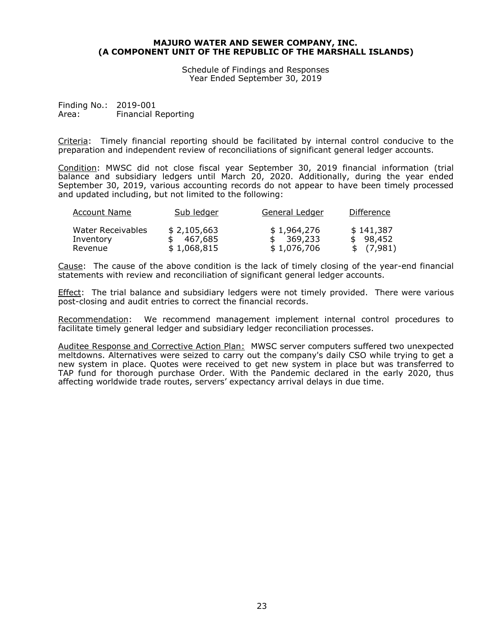Schedule of Findings and Responses Year Ended September 30, 2019

Finding No.: 2019-001 Area: Financial Reporting

Criteria: Timely financial reporting should be facilitated by internal control conducive to the preparation and independent review of reconciliations of significant general ledger accounts.

Condition: MWSC did not close fiscal year September 30, 2019 financial information (trial balance and subsidiary ledgers until March 20, 2020. Additionally, during the year ended September 30, 2019, various accounting records do not appear to have been timely processed and updated including, but not limited to the following:

| <b>Account Name</b>            | Sub ledger               | General Ledger           | Difference            |
|--------------------------------|--------------------------|--------------------------|-----------------------|
| Water Receivables<br>Inventory | \$2,105,663<br>\$467,685 | \$1,964,276<br>\$369,233 | \$141,387<br>\$98,452 |
| Revenue                        | \$1,068,815              | \$1,076,706              | \$(7,981)             |

Cause: The cause of the above condition is the lack of timely closing of the year-end financial statements with review and reconciliation of significant general ledger accounts.

Effect: The trial balance and subsidiary ledgers were not timely provided. There were various post-closing and audit entries to correct the financial records.

Recommendation: We recommend management implement internal control procedures to facilitate timely general ledger and subsidiary ledger reconciliation processes.

Auditee Response and Corrective Action Plan: MWSC server computers suffered two unexpected meltdowns. Alternatives were seized to carry out the company's daily CSO while trying to get a new system in place. Quotes were received to get new system in place but was transferred to TAP fund for thorough purchase Order. With the Pandemic declared in the early 2020, thus affecting worldwide trade routes, servers' expectancy arrival delays in due time.